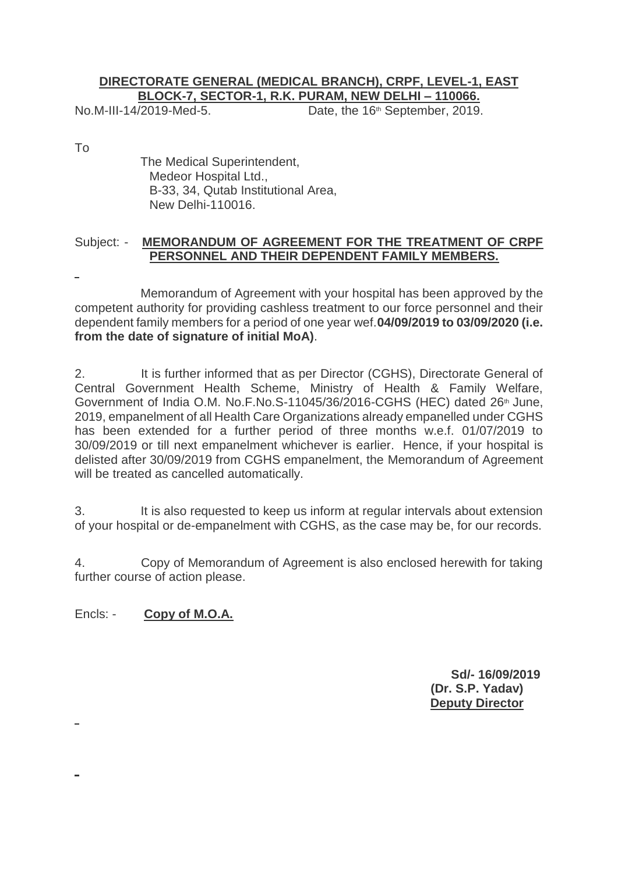## **DIRECTORATE GENERAL (MEDICAL BRANCH), CRPF, LEVEL-1, EAST BLOCK-7, SECTOR-1, R.K. PURAM, NEW DELHI – 110066.**

No.M-III-14/2019-Med-5. Date, the 16<sup>th</sup> September, 2019.

To

 The Medical Superintendent, Medeor Hospital Ltd., B-33, 34, Qutab Institutional Area, New Delhi-110016.

## Subject: - **MEMORANDUM OF AGREEMENT FOR THE TREATMENT OF CRPF PERSONNEL AND THEIR DEPENDENT FAMILY MEMBERS.**

 Memorandum of Agreement with your hospital has been approved by the competent authority for providing cashless treatment to our force personnel and their dependent family members for a period of one year wef.**04/09/2019 to 03/09/2020 (i.e. from the date of signature of initial MoA)**.

2. It is further informed that as per Director (CGHS), Directorate General of Central Government Health Scheme, Ministry of Health & Family Welfare, Government of India O.M. No.F.No.S-11045/36/2016-CGHS (HEC) dated 26<sup>th</sup> June, 2019, empanelment of all Health Care Organizations already empanelled under CGHS has been extended for a further period of three months w.e.f. 01/07/2019 to 30/09/2019 or till next empanelment whichever is earlier. Hence, if your hospital is delisted after 30/09/2019 from CGHS empanelment, the Memorandum of Agreement will be treated as cancelled automatically.

3. It is also requested to keep us inform at regular intervals about extension of your hospital or de-empanelment with CGHS, as the case may be, for our records.

4. Copy of Memorandum of Agreement is also enclosed herewith for taking further course of action please.

Encls: - **Copy of M.O.A.**

**Sd/- 16/09/2019 (Dr. S.P. Yadav) Deputy Director**